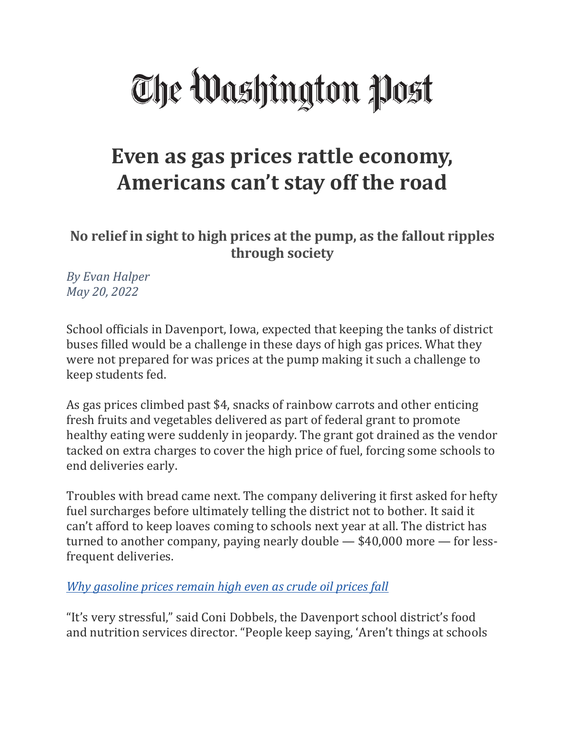# The Washington Post

# **Even as gas prices rattle economy, Americans can't stay off the road**

## **No relief in sight to high prices at the pump, as the fallout ripples through society**

*By Evan Halper May 20, 2022*

School officials in Davenport, Iowa, expected that keeping the tanks of district buses filled would be a challenge in these days of high gas prices. What they were not prepared for was prices at the pump making it such a challenge to keep students fed.

As gas prices climbed past \$4, snacks of rainbow carrots and other enticing fresh fruits and vegetables delivered as part of federal grant to promote healthy eating were suddenly in jeopardy. The grant got drained as the vendor tacked on extra charges to cover the high price of fuel, forcing some schools to end deliveries early.

Troubles with bread came next. The company delivering it first asked for hefty fuel surcharges before ultimately telling the district not to bother. It said it can't afford to keep loaves coming to schools next year at all. The district has turned to another company, paying nearly double — \$40,000 more — for lessfrequent deliveries.

*[Why gasoline prices remain high even as crude oil prices fall](https://www.washingtonpost.com/business/2022/04/11/gasoline-prices-crude-prices/?itid=lk_interstitial_manual_6)*

"It's very stressful," said Coni Dobbels, the Davenport school district's food and nutrition services director. "People keep saying, 'Aren't things at schools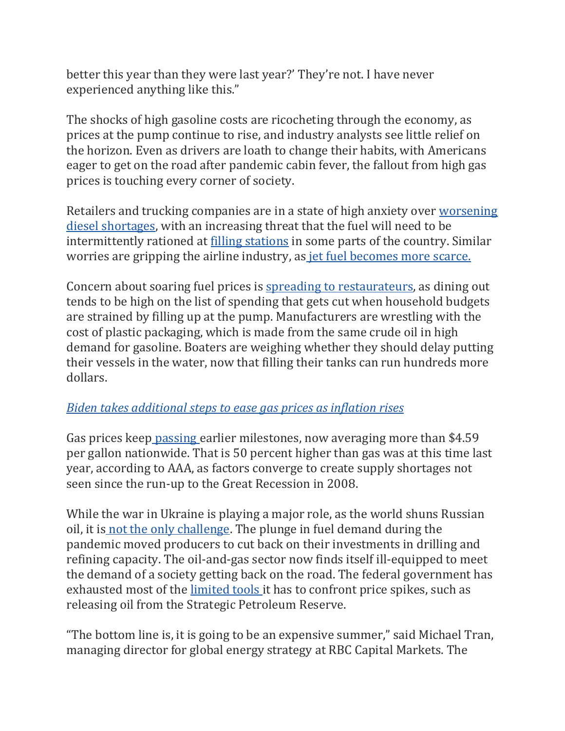better this year than they were last year?' They're not. I have never experienced anything like this."

The shocks of high gasoline costs are ricocheting through the economy, as prices at the pump continue to rise, and industry analysts see little relief on the horizon. Even as drivers are loath to change their habits, with Americans eager to get on the road after pandemic cabin fever, the fallout from high gas prices is touching every corner of society.

Retailers and trucking companies are in a state of high anxiety over [worsening](https://www.washingtonpost.com/business/energy/the-oil-price-rally-is-bad-the-diesel-crisis-is-far-worse/2022/03/14/e207748a-a36c-11ec-8628-3da4fa8f8714_story.html?itid=lk_inline_manual_11)  [diesel shortages,](https://www.washingtonpost.com/business/energy/the-oil-price-rally-is-bad-the-diesel-crisis-is-far-worse/2022/03/14/e207748a-a36c-11ec-8628-3da4fa8f8714_story.html?itid=lk_inline_manual_11) with an increasing threat that the fuel will need to be intermittently rationed at [filling stations](https://www.loves.com/en/news/fuel-updates) in some parts of the country. Similar worries are gripping the airline industry, as [jet fuel becomes more scarce.](https://www.washingtonpost.com/business/energy/jet-fuel-sees-crazy-pricesafter-two-unloved-years/2022/04/13/17d23372-baef-11ec-a92d-c763de818c21_story.html?itid=lk_inline_manual_11)

Concern about soaring fuel prices is [spreading to restaurateurs,](https://restaurant.org/research-and-media/research/economists-notebook/analysis-commentary/restaurant-sales-rose-for-the-third-consecutive-month-in-april/) as dining out tends to be high on the list of spending that gets cut when household budgets are strained by filling up at the pump. Manufacturers are wrestling with the cost of plastic packaging, which is made from the same crude oil in high demand for gasoline. Boaters are weighing whether they should delay putting their vessels in the water, now that filling their tanks can run hundreds more dollars.

#### *Biden takes additional steps to [ease gas prices as inflation rises](https://www.washingtonpost.com/us-policy/2022/04/12/white-house-economics-inflation/?itid=lk_interstitial_manual_13)*

Gas prices keep [passing](https://gasprices.aaa.com/) earlier milestones, now averaging more than \$4.59 per gallon nationwide. That is 50 percent higher than gas was at this time last year, according to AAA, as factors converge to create supply shortages not seen since the run-up to the Great Recession in 2008.

While the war in Ukraine is playing a major role, as the world shuns Russian oil, it is [not the only challenge.](https://www.washingtonpost.com/business/2022/05/10/gas-prices-are-up-again-putting-biden-fresh-bind/?itid=lk_inline_manual_17) The plunge in fuel demand during the pandemic moved producers to cut back on their investments in drilling and refining capacity. The oil-and-gas sector now finds itself ill-equipped to meet the demand of a society getting back on the road. The federal government has exhausted most of the [limited tools](https://www.washingtonpost.com/climate-environment/2022/03/31/strategic-petroleum-reserve-release-biden/?itid=lk_inline_manual_17) it has to confront price spikes, such as releasing oil from the Strategic Petroleum Reserve.

"The bottom line is, it is going to be an expensive summer," said Michael Tran, managing director for global energy strategy at RBC Capital Markets. The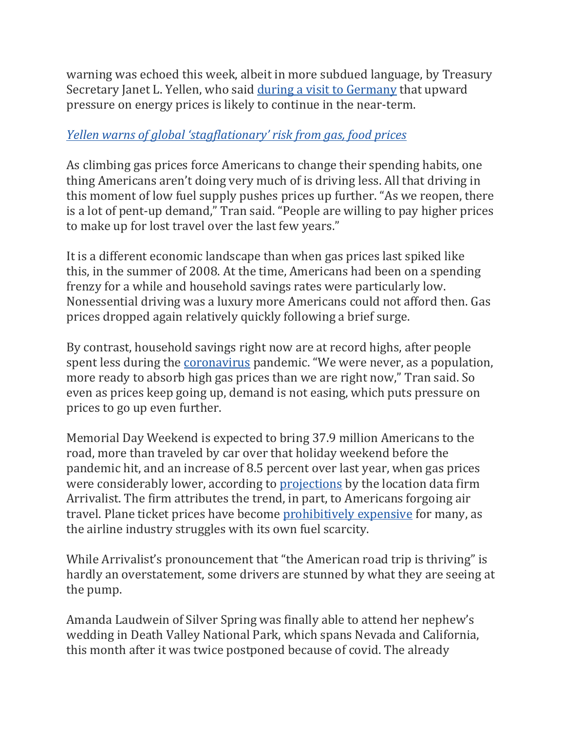warning was echoed this week, albeit in more subdued language, by Treasury Secretary Janet L. Yellen, who said [during a visit to Germany](https://www.washingtonpost.com/us-policy/2022/05/18/yellen-gas-prices-biden/?itid=lk_inline_manual_18) that upward pressure on energy prices is likely to continue in the near-term.

### *[Yellen warns of global 'stagflationary' risk from gas, food prices](https://www.washingtonpost.com/us-policy/2022/05/18/yellen-gas-prices-biden/?itid=lk_interstitial_manual_19)*

As climbing gas prices force Americans to change their spending habits, one thing Americans aren't doing very much of is driving less. All that driving in this moment of low fuel supply pushes prices up further. "As we reopen, there is a lot of pent-up demand," Tran said. "People are willing to pay higher prices to make up for lost travel over the last few years."

It is a different economic landscape than when gas prices last spiked like this, in the summer of 2008. At the time, Americans had been on a spending frenzy for a while and household savings rates were particularly low. Nonessential driving was a luxury more Americans could not afford then. Gas prices dropped again relatively quickly following a brief surge.

By contrast, household savings right now are at record highs, after people spent less during the [coronavirus](https://www.washingtonpost.com/coronavirus/?itid=lk_inline_manual_24) pandemic. "We were never, as a population, more ready to absorb high gas prices than we are right now," Tran said. So even as prices keep going up, demand is not easing, which puts pressure on prices to go up even further.

Memorial Day Weekend is expected to bring 37.9 million Americans to the road, more than traveled by car over that holiday weekend before the pandemic hit, and an increase of 8.5 percent over last year, when gas prices were considerably lower, according to [projections](https://www.businesswire.com/news/home/20220516005615/en/37.9-Million-Americans-to-Hit-the-Road-Memorial-Day-Weekend) by the location data firm Arrivalist. The firm attributes the trend, in part, to Americans forgoing air travel. Plane ticket prices have become [prohibitively expensive](https://www.washingtonpost.com/travel/2022/04/20/summer-travel-rising-prices-gas-flights/?itid=lk_inline_manual_25) for many, as the airline industry struggles with its own fuel scarcity.

While Arrivalist's pronouncement that "the American road trip is thriving" is hardly an overstatement, some drivers are stunned by what they are seeing at the pump.

Amanda Laudwein of Silver Spring was finally able to attend her nephew's wedding in Death Valley National Park, which spans Nevada and California, this month after it was twice postponed because of covid. The already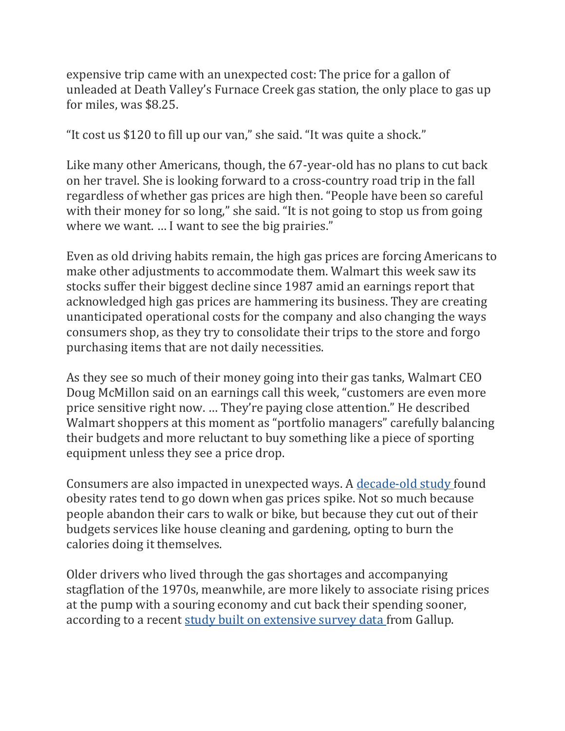expensive trip came with an unexpected cost: The price for a gallon of unleaded at Death Valley's Furnace Creek gas station, the only place to gas up for miles, was \$8.25.

"It cost us \$120 to fill up our van," she said. "It was quite a shock."

Like many other Americans, though, the 67-year-old has no plans to cut back on her travel. She is looking forward to a cross-country road trip in the fall regardless of whether gas prices are high then. "People have been so careful with their money for so long," she said. "It is not going to stop us from going where we want. ... I want to see the big prairies."

Even as old driving habits remain, the high gas prices are forcing Americans to make other adjustments to accommodate them. Walmart this week saw its stocks suffer their biggest decline since 1987 amid an earnings report that acknowledged high gas prices are hammering its business. They are creating unanticipated operational costs for the company and also changing the ways consumers shop, as they try to consolidate their trips to the store and forgo purchasing items that are not daily necessities.

As they see so much of their money going into their gas tanks, Walmart CEO Doug McMillon said on an earnings call this week, "customers are even more price sensitive right now. … They're paying close attention." He described Walmart shoppers at this moment as "portfolio managers" carefully balancing their budgets and more reluctant to buy something like a piece of sporting equipment unless they see a price drop.

Consumers are also impacted in unexpected ways. A [decade-old study](https://onlinelibrary.wiley.com/doi/abs/10.1002/pam.21601) found obesity rates tend to go down when gas prices spike. Not so much because people abandon their cars to walk or bike, but because they cut out of their budgets services like house cleaning and gardening, opting to burn the calories doing it themselves.

Older drivers who lived through the gas shortages and accompanying stagflation of the 1970s, meanwhile, are more likely to associate rising prices at the pump with a souring economy and cut back their spending sooner, according to a recent [study built on extensive survey data](https://direct.mit.edu/rest/article-abstract/104/2/293/97647/Stuck-in-the-Seventies-Gas-Prices-and-Consumer?redirectedFrom=fulltext) from Gallup.